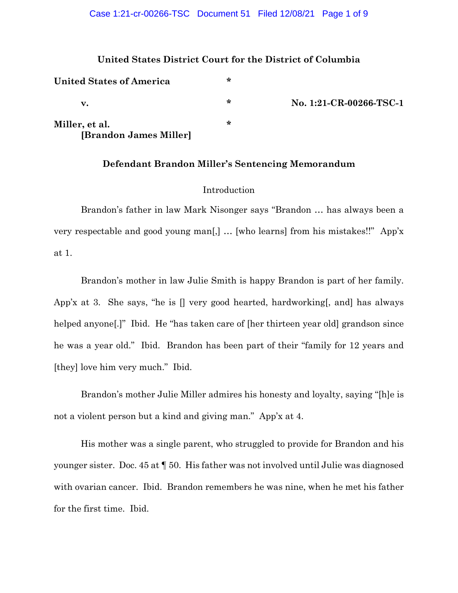### **United States District Court for the District of Columbia**

| <b>United States of America</b>          | * |                         |
|------------------------------------------|---|-------------------------|
| v.                                       | ∗ | No. 1:21-CR-00266-TSC-1 |
| Miller, et al.<br>[Brandon James Miller] | ∗ |                         |

## **Defendant Brandon Miller's Sentencing Memorandum**

# Introduction

Brandon's father in law Mark Nisonger says "Brandon … has always been a very respectable and good young man[,] … [who learns] from his mistakes!!" App'x at 1.

Brandon's mother in law Julie Smith is happy Brandon is part of her family. App'x at 3. She says, "he is [] very good hearted, hardworking[, and] has always helped anyone<sup>[1]</sup> Ibid. He "has taken care of [her thirteen year old] grandson since he was a year old." Ibid. Brandon has been part of their "family for 12 years and [they] love him very much." Ibid.

Brandon's mother Julie Miller admires his honesty and loyalty, saying "[h]e is not a violent person but a kind and giving man." App'x at 4.

His mother was a single parent, who struggled to provide for Brandon and his younger sister. Doc. 45 at ¶ 50. His father was not involved until Julie was diagnosed with ovarian cancer. Ibid. Brandon remembers he was nine, when he met his father for the first time. Ibid.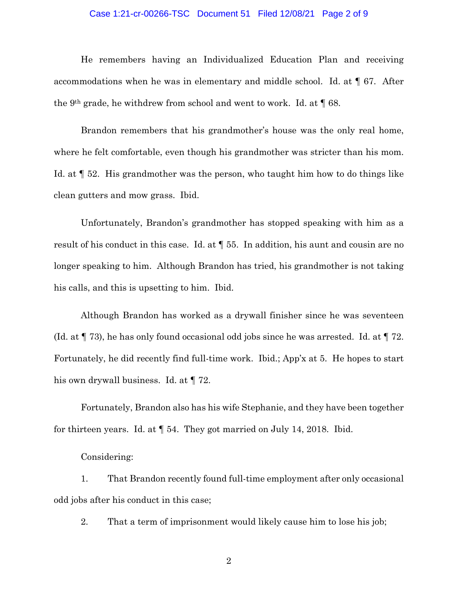#### Case 1:21-cr-00266-TSC Document 51 Filed 12/08/21 Page 2 of 9

He remembers having an Individualized Education Plan and receiving accommodations when he was in elementary and middle school. Id. at ¶ 67. After the 9th grade, he withdrew from school and went to work. Id. at ¶ 68.

Brandon remembers that his grandmother's house was the only real home, where he felt comfortable, even though his grandmother was stricter than his mom. Id. at ¶ 52. His grandmother was the person, who taught him how to do things like clean gutters and mow grass. Ibid.

Unfortunately, Brandon's grandmother has stopped speaking with him as a result of his conduct in this case. Id. at ¶ 55. In addition, his aunt and cousin are no longer speaking to him. Although Brandon has tried, his grandmother is not taking his calls, and this is upsetting to him. Ibid.

Although Brandon has worked as a drywall finisher since he was seventeen (Id. at  $\P$  73), he has only found occasional odd jobs since he was arrested. Id. at  $\P$  72. Fortunately, he did recently find full-time work. Ibid.; App'x at 5. He hopes to start his own drywall business. Id. at  $\P$  72.

Fortunately, Brandon also has his wife Stephanie, and they have been together for thirteen years. Id. at ¶ 54. They got married on July 14, 2018. Ibid.

Considering:

1. That Brandon recently found full-time employment after only occasional odd jobs after his conduct in this case;

2. That a term of imprisonment would likely cause him to lose his job;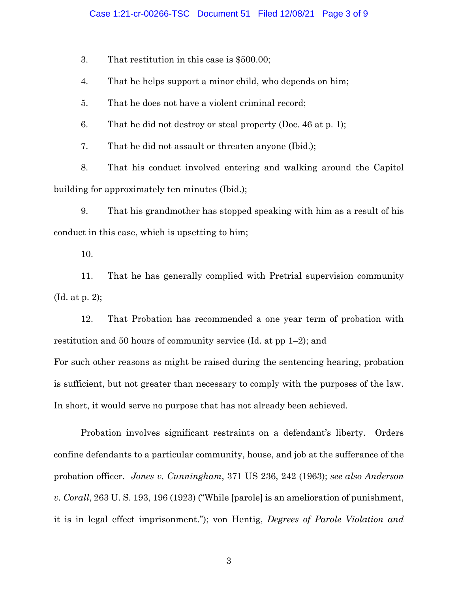#### Case 1:21-cr-00266-TSC Document 51 Filed 12/08/21 Page 3 of 9

3. That restitution in this case is \$500.00;

4. That he helps support a minor child, who depends on him;

5. That he does not have a violent criminal record;

6. That he did not destroy or steal property (Doc. 46 at p. 1);

7. That he did not assault or threaten anyone (Ibid.);

8. That his conduct involved entering and walking around the Capitol building for approximately ten minutes (Ibid.);

9. That his grandmother has stopped speaking with him as a result of his conduct in this case, which is upsetting to him;

10.

11. That he has generally complied with Pretrial supervision community (Id. at p. 2);

12. That Probation has recommended a one year term of probation with restitution and 50 hours of community service (Id. at pp 1–2); and

For such other reasons as might be raised during the sentencing hearing, probation is sufficient, but not greater than necessary to comply with the purposes of the law. In short, it would serve no purpose that has not already been achieved.

Probation involves significant restraints on a defendant's liberty. Orders confine defendants to a particular community, house, and job at the sufferance of the probation officer. *Jones v. Cunningham*, 371 US 236, 242 (1963); *see also [Anderson](https://scholar.google.com/scholar_case?case=15781653506483421709&q=probation+restraint+liberty&hl=en&as_sdt=20000006)  v. Corall*[, 263 U. S. 193, 196 \(1923\)](https://scholar.google.com/scholar_case?case=15781653506483421709&q=probation+restraint+liberty&hl=en&as_sdt=20000006) ("While [parole] is an amelioration of punishment, it is in legal effect imprisonment."); von Hentig, *Degrees of Parole Violation and*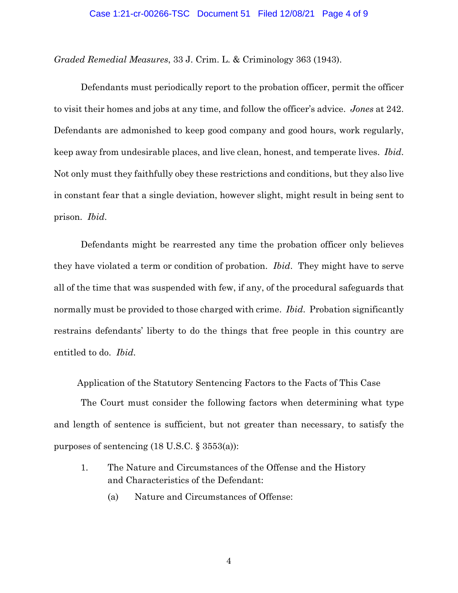#### Case 1:21-cr-00266-TSC Document 51 Filed 12/08/21 Page 4 of 9

*Graded Remedial Measures*, 33 J. Crim. L. & Criminology 363 (1943).

Defendants must periodically report to the probation officer, permit the officer to visit their homes and jobs at any time, and follow the officer's advice. *Jones* at 242. Defendants are admonished to keep good company and good hours, work regularly, keep away from undesirable places, and live clean, honest, and temperate lives. *Ibid*. Not only must they faithfully obey these restrictions and conditions, but they also live in constant fear that a single deviation, however slight, might result in being sent to prison. *Ibid*.

Defendants might be rearrested any time the probation officer only believes they have violated a term or condition of probation. *Ibid*. They might have to serve all of the time that was suspended with few, if any, of the procedural safeguards that normally must be provided to those charged with crime. *Ibid*. Probation significantly restrains defendants' liberty to do the things that free people in this country are entitled to do. *Ibid*.

Application of the Statutory Sentencing Factors to the Facts of This Case

The Court must consider the following factors when determining what type and length of sentence is sufficient, but not greater than necessary, to satisfy the purposes of sentencing  $(18 \text{ U.S. C. } \S 3553(a))$ :

- 1. The Nature and Circumstances of the Offense and the History and Characteristics of the Defendant:
	- (a) Nature and Circumstances of Offense: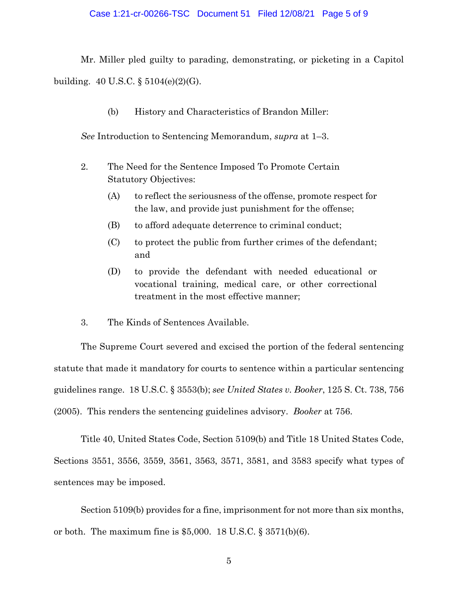### Case 1:21-cr-00266-TSC Document 51 Filed 12/08/21 Page 5 of 9

Mr. Miller pled guilty to parading, demonstrating, or picketing in a Capitol building. 40 U.S.C. § 5104(e)(2)(G).

(b) History and Characteristics of Brandon Miller:

*See* Introduction to Sentencing Memorandum, *supra* at 1–3.

- 2. The Need for the Sentence Imposed To Promote Certain Statutory Objectives:
	- (A) to reflect the seriousness of the offense, promote respect for the law, and provide just punishment for the offense;
	- (B) to afford adequate deterrence to criminal conduct;
	- (C) to protect the public from further crimes of the defendant; and
	- (D) to provide the defendant with needed educational or vocational training, medical care, or other correctional treatment in the most effective manner;
- 3. The Kinds of Sentences Available.

The Supreme Court severed and excised the portion of the federal sentencing statute that made it mandatory for courts to sentence within a particular sentencing guidelines range. 18 U.S.C. § 3553(b); *see United States v. Booker*, 125 S. Ct. 738, 756 (2005). This renders the sentencing guidelines advisory. *Booker* at 756.

Title 40, United States Code, Section 5109(b) and Title 18 United States Code, Sections 3551, 3556, 3559, 3561, 3563, 3571, 3581, and 3583 specify what types of sentences may be imposed.

Section 5109(b) provides for a fine, imprisonment for not more than six months, or both. The maximum fine is  $$5,000$ . 18 U.S.C.  $§$  3571(b)(6).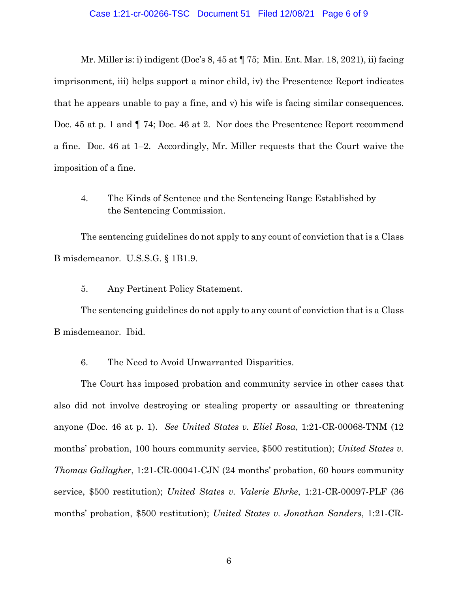#### Case 1:21-cr-00266-TSC Document 51 Filed 12/08/21 Page 6 of 9

Mr. Miller is: i) indigent (Doc's 8, 45 at ¶ 75; Min. Ent. Mar. 18, 2021), ii) facing imprisonment, iii) helps support a minor child, iv) the Presentence Report indicates that he appears unable to pay a fine, and v) his wife is facing similar consequences. Doc. 45 at p. 1 and  $\P$  74; Doc. 46 at 2. Nor does the Presentence Report recommend a fine. Doc. 46 at 1–2. Accordingly, Mr. Miller requests that the Court waive the imposition of a fine.

4. The Kinds of Sentence and the Sentencing Range Established by the Sentencing Commission.

The sentencing guidelines do not apply to any count of conviction that is a Class B misdemeanor. U.S.S.G. § 1B1.9.

5. Any Pertinent Policy Statement.

The sentencing guidelines do not apply to any count of conviction that is a Class B misdemeanor. Ibid.

6. The Need to Avoid Unwarranted Disparities.

The Court has imposed probation and community service in other cases that also did not involve destroying or stealing property or assaulting or threatening anyone (Doc. 46 at p. 1). *See United States v. Eliel Rosa*, 1:21-CR-00068-TNM (12 months' probation, 100 hours community service, \$500 restitution); *United States v. Thomas Gallagher*, 1:21-CR-00041-CJN (24 months' probation, 60 hours community service, \$500 restitution); *United States v. Valerie Ehrke*, 1:21-CR-00097-PLF (36 months' probation, \$500 restitution); *United States v. Jonathan Sanders*, 1:21-CR-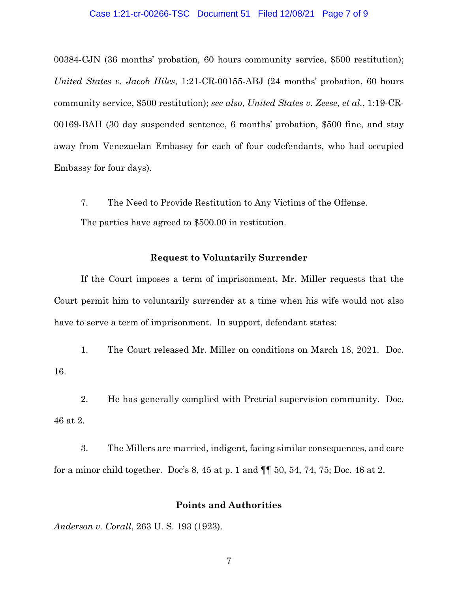#### Case 1:21-cr-00266-TSC Document 51 Filed 12/08/21 Page 7 of 9

00384-CJN (36 months' probation, 60 hours community service, \$500 restitution); *United States v. Jacob Hiles*, 1:21-CR-00155-ABJ (24 months' probation, 60 hours community service, \$500 restitution); *see also*, *United States v. Zeese, et al.*, 1:19-CR-00169-BAH (30 day suspended sentence, 6 months' probation, \$500 fine, and stay away from Venezuelan Embassy for each of four codefendants, who had occupied Embassy for four days).

7. The Need to Provide Restitution to Any Victims of the Offense.

The parties have agreed to \$500.00 in restitution.

### **Request to Voluntarily Surrender**

If the Court imposes a term of imprisonment, Mr. Miller requests that the Court permit him to voluntarily surrender at a time when his wife would not also have to serve a term of imprisonment. In support, defendant states:

1. The Court released Mr. Miller on conditions on March 18, 2021. Doc. 16.

2. He has generally complied with Pretrial supervision community. Doc. 46 at 2.

3. The Millers are married, indigent, facing similar consequences, and care for a minor child together. Doc's 8, 45 at p. 1 and ¶¶ 50, 54, 74, 75; Doc. 46 at 2.

#### **Points and Authorities**

*Anderson v. Corall*[, 263 U. S. 193 \(1923\).](https://scholar.google.com/scholar_case?case=15781653506483421709&q=probation+restraint+liberty&hl=en&as_sdt=20000006)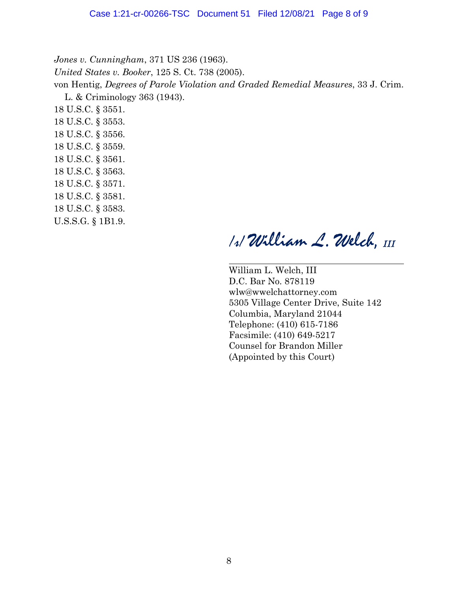*Jones v. Cunningham*, 371 US 236 (1963). *United States v. Booker*, 125 S. Ct. 738 (2005). von Hentig, *Degrees of Parole Violation and Graded Remedial Measures*, 33 J. Crim. L. & Criminology 363 (1943). 18 U.S.C. § 3551. 18 U.S.C. § 3553. 18 U.S.C. § 3556. 18 U.S.C. § 3559. 18 U.S.C. § 3561. 18 U.S.C. § 3563. 18 U.S.C. § 3571. 18 U.S.C. § 3581. 18 U.S.C. § 3583.

U.S.S.G. § 1B1.9.

/s/ *W*illiam *L. W*elch, *III*

William L. Welch, III D.C. Bar No. 878119 wlw@wwelchattorney.com 5305 Village Center Drive, Suite 142 Columbia, Maryland 21044 Telephone: (410) 615-7186 Facsimile: (410) 649-5217 Counsel for Brandon Miller (Appointed by this Court)